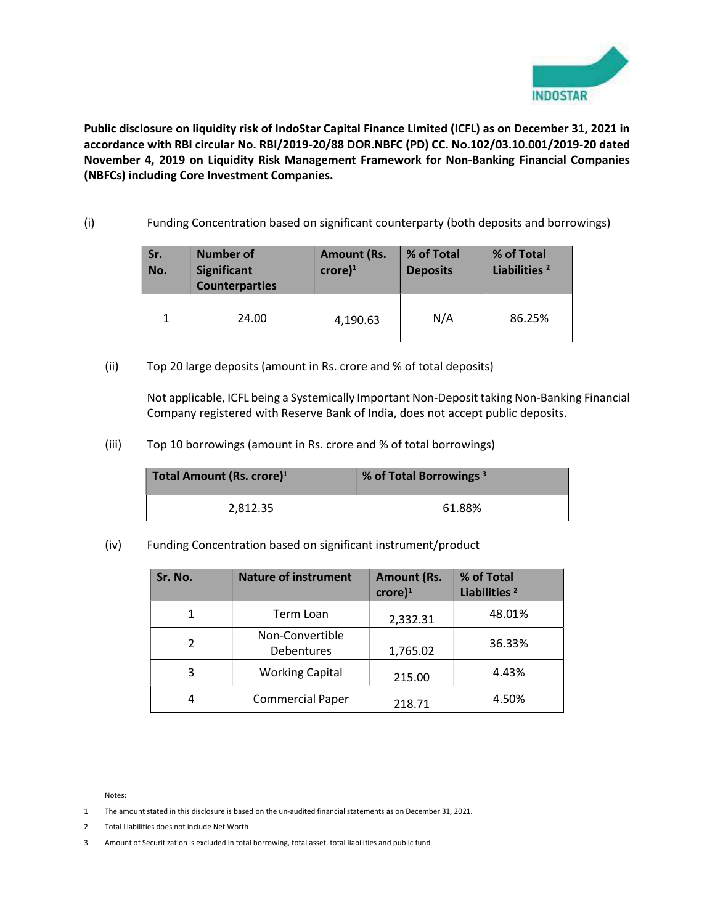

Public disclosure on liquidity risk of IndoStar Capital Finance Limited (ICFL) as on December 31, 2021 in accordance with RBI circular No. RBI/2019-20/88 DOR.NBFC (PD) CC. No.102/03.10.001/2019-20 dated November 4, 2019 on Liquidity Risk Management Framework for Non-Banking Financial Companies (NBFCs) including Core Investment Companies.

(i) Funding Concentration based on significant counterparty (both deposits and borrowings)

| Sr.<br>No. | <b>Number of</b><br><b>Significant</b><br><b>Counterparties</b> | <b>Amount (Rs.</b><br>$core)^1$ | % of Total<br><b>Deposits</b> | % of Total<br>Liabilities <sup>2</sup> |
|------------|-----------------------------------------------------------------|---------------------------------|-------------------------------|----------------------------------------|
|            | 24.00                                                           | 4,190.63                        | N/A                           | 86.25%                                 |

(ii) Top 20 large deposits (amount in Rs. crore and % of total deposits)

Not applicable, ICFL being a Systemically Important Non-Deposit taking Non-Banking Financial Company registered with Reserve Bank of India, does not accept public deposits.

(iii) Top 10 borrowings (amount in Rs. crore and % of total borrowings)

| Total Amount (Rs. crore) <sup>1</sup> | % of Total Borrowings <sup>3</sup> |  |
|---------------------------------------|------------------------------------|--|
| 2,812.35                              | 61.88%                             |  |

(iv) Funding Concentration based on significant instrument/product

| Sr. No. | <b>Nature of instrument</b>   | <b>Amount (Rs.</b><br>$core)^1$ | % of Total<br>Liabilities <sup>2</sup> |
|---------|-------------------------------|---------------------------------|----------------------------------------|
|         | Term Loan                     | 2,332.31                        | 48.01%                                 |
|         | Non-Convertible<br>Debentures | 1,765.02                        | 36.33%                                 |
| 3       | <b>Working Capital</b>        | 215.00                          | 4.43%                                  |
|         | <b>Commercial Paper</b>       | 218.71                          | 4.50%                                  |

Notes:

- 1 The amount stated in this disclosure is based on the un-audited financial statements as on December 31, 2021.
- 2 Total Liabilities does not include Net Worth
- 3 Amount of Securitization is excluded in total borrowing, total asset, total liabilities and public fund